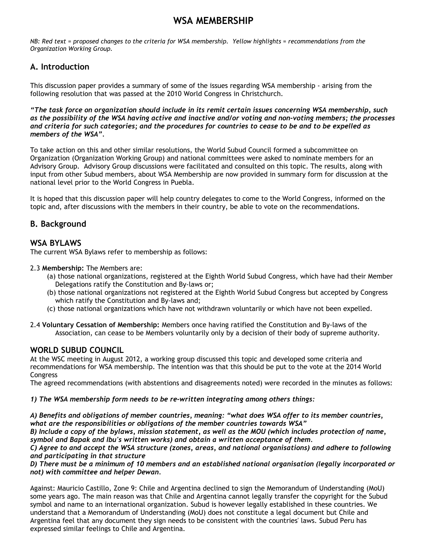# **WSA MEMBERSHIP**

*NB: Red text = proposed changes to the criteria for WSA membership. Yellow highlights = recommendations from the Organization Working Group.*

## **A. Introduction**

This discussion paper provides a summary of some of the issues regarding WSA membership - arising from the following resolution that was passed at the 2010 World Congress in Christchurch.

*"The task force on organization should include in its remit certain issues concerning WSA membership, such as the possibility of the WSA having active and inactive and/or voting and non-voting members; the processes and criteria for such categories; and the procedures for countries to cease to be and to be expelled as members of the WSA".*

To take action on this and other similar resolutions, the World Subud Council formed a subcommittee on Organization (Organization Working Group) and national committees were asked to nominate members for an Advisory Group. Advisory Group discussions were facilitated and consulted on this topic. The results, along with input from other Subud members, about WSA Membership are now provided in summary form for discussion at the national level prior to the World Congress in Puebla.

It is hoped that this discussion paper will help country delegates to come to the World Congress, informed on the topic and, after discussions with the members in their country, be able to vote on the recommendations.

## **B. Background**

## **WSA BYLAWS**

The current WSA Bylaws refer to membership as follows:

## 2.3 **Membership:** The Members are:

- (a) those national organizations, registered at the Eighth World Subud Congress, which have had their Member Delegations ratify the Constitution and By-laws or;
- (b) those national organizations not registered at the Eighth World Subud Congress but accepted by Congress which ratify the Constitution and By-laws and;
- (c) those national organizations which have not withdrawn voluntarily or which have not been expelled.
- 2.4 **Voluntary Cessation of Membership:** Members once having ratified the Constitution and By-laws of the Association, can cease to be Members voluntarily only by a decision of their body of supreme authority.

## **WORLD SUBUD COUNCIL**

At the WSC meeting in August 2012, a working group discussed this topic and developed some criteria and recommendations for WSA membership. The intention was that this should be put to the vote at the 2014 World **Congress** 

The agreed recommendations (with abstentions and disagreements noted) were recorded in the minutes as follows:

*1) The WSA membership form needs to be re-written integrating among others things:*

*A) Benefits and obligations of member countries, meaning: "what does WSA offer to its member countries, what are the responsibilities or obligations of the member countries towards WSA"* 

*B) Include a copy of the bylaws, mission statement, as well as the MOU (which includes protection of name, symbol and Bapak and Ibu's written works) and obtain a written acceptance of them.* 

*C) Agree to and accept the WSA structure (zones, areas, and national organisations) and adhere to following and participating in that structure*

*D) There must be a minimum of 10 members and an established national organisation (legally incorporated or not) with committee and helper Dewan.*

Against: Mauricio Castillo, Zone 9: Chile and Argentina declined to sign the Memorandum of Understanding (MoU) some years ago. The main reason was that Chile and Argentina cannot legally transfer the copyright for the Subud symbol and name to an international organization. Subud is however legally established in these countries. We understand that a Memorandum of Understanding (MoU) does not constitute a legal document but Chile and Argentina feel that any document they sign needs to be consistent with the countries' laws. Subud Peru has expressed similar feelings to Chile and Argentina.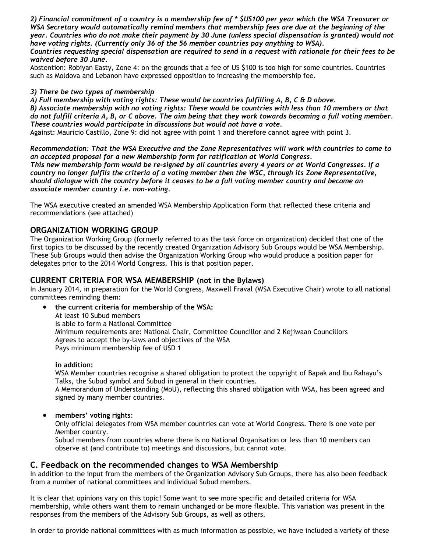*2) Financial commitment of a country is a membership fee of \* \$US100 per year which the WSA Treasurer or WSA Secretary would automatically remind members that membership fees are due at the beginning of the year. Countries who do not make their payment by 30 June (unless special dispensation is granted) would not have voting rights. (Currently only 36 of the 56 member countries pay anything to WSA).* 

*Countries requesting special dispensation are required to send in a request with rationale for their fees to be waived before 30 June.*

Abstention: Robiyan Easty, Zone 4: on the grounds that a fee of US \$100 is too high for some countries. Countries such as Moldova and Lebanon have expressed opposition to increasing the membership fee.

### *3) There be two types of membership*

*A) Full membership with voting rights: These would be countries fulfilling A, B, C & D above.* 

*B) Associate membership with no voting rights: These would be countries with less than 10 members or that do not fulfill criteria A, B, or C above. The aim being that they work towards becoming a full voting member. These countries would participate in discussions but would not have a vote.*

Against: Mauricio Castillo, Zone 9: did not agree with point 1 and therefore cannot agree with point 3.

*Recommendation: That the WSA Executive and the Zone Representatives will work with countries to come to an accepted proposal for a new Membership form for ratification at World Congress. This new membership form would be re-signed by all countries every 4 years or at World Congresses. If a country no longer fulfils the criteria of a voting member then the WSC, through its Zone Representative, should dialogue with the country before it ceases to be a full voting member country and become an associate member country i.e. non-voting.*

The WSA executive created an amended WSA Membership Application Form that reflected these criteria and recommendations (see attached)

## **ORGANIZATION WORKING GROUP**

The Organization Working Group (formerly referred to as the task force on organization) decided that one of the first topics to be discussed by the recently created Organization Advisory Sub Groups would be WSA Membership. These Sub Groups would then advise the Organization Working Group who would produce a position paper for delegates prior to the 2014 World Congress. This is that position paper.

## **CURRENT CRITERIA FOR WSA MEMBERSHIP (not in the Bylaws)**

In January 2014, in preparation for the World Congress, Maxwell Fraval (WSA Executive Chair) wrote to all national committees reminding them:

 **the current criteria for membership of the WSA:** At least 10 Subud members Is able to form a National Committee Minimum requirements are: National Chair, Committee Councillor and 2 Kejiwaan Councillors Agrees to accept the by-laws and objectives of the WSA Pays minimum membership fee of USD 1

#### **in addition:**

WSA Member countries recognise a shared obligation to protect the copyright of Bapak and Ibu Rahayu's Talks, the Subud symbol and Subud in general in their countries.

A Memorandum of Understanding (MoU), reflecting this shared obligation with WSA, has been agreed and signed by many member countries.

#### **members' voting rights**:

Only official delegates from WSA member countries can vote at World Congress. There is one vote per Member country.

Subud members from countries where there is no National Organisation or less than 10 members can observe at (and contribute to) meetings and discussions, but cannot vote.

## **C. Feedback on the recommended changes to WSA Membership**

In addition to the input from the members of the Organization Advisory Sub Groups, there has also been feedback from a number of national committees and individual Subud members.

It is clear that opinions vary on this topic! Some want to see more specific and detailed criteria for WSA membership, while others want them to remain unchanged or be more flexible. This variation was present in the responses from the members of the Advisory Sub Groups, as well as others.

In order to provide national committees with as much information as possible, we have included a variety of these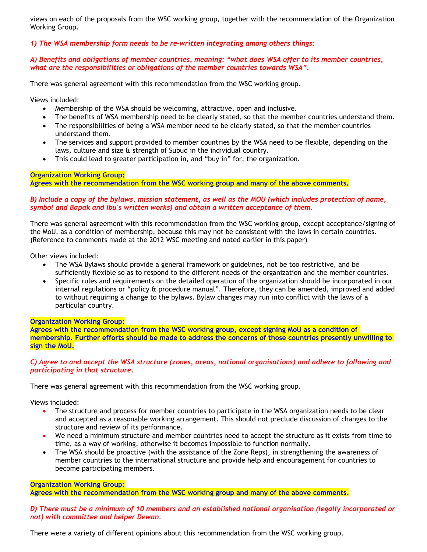views on each of the proposals from the WSC working group, together with the recommendation of the Organization Working Group.

*1) The WSA membership form needs to be re-written integrating among others things:*

#### *A) Benefits and obligations of member countries, meaning: "what does WSA offer to its member countries, what are the responsibilities or obligations of the member countries towards WSA".*

There was general agreement with this recommendation from the WSC working group.

Views included:

- Membership of the WSA should be welcoming, attractive, open and inclusive.
- The benefits of WSA membership need to be clearly stated, so that the member countries understand them.
- The responsibilities of being a WSA member need to be clearly stated, so that the member countries understand them.
- The services and support provided to member countries by the WSA need to be flexible, depending on the laws, culture and size & strength of Subud in the individual country.
- This could lead to greater participation in, and "buy in" for, the organization.

**Organization Working Group:**

**Agrees with the recommendation from the WSC working group and many of the above comments.**

#### *B) Include a copy of the bylaws, mission statement, as well as the MOU (which includes protection of name, symbol and Bapak and Ibu's written works) and obtain a written acceptance of them.*

There was general agreement with this recommendation from the WSC working group, except acceptance/signing of the MoU, as a condition of membership, because this may not be consistent with the laws in certain countries. (Reference to comments made at the 2012 WSC meeting and noted earlier in this paper)

Other views included:

- The WSA Bylaws should provide a general framework or guidelines, not be too restrictive, and be sufficiently flexible so as to respond to the different needs of the organization and the member countries.
- Specific rules and requirements on the detailed operation of the organization should be incorporated in our internal regulations or "policy & procedure manual". Therefore, they can be amended, improved and added to without requiring a change to the bylaws. Bylaw changes may run into conflict with the laws of a particular country.

#### **Organization Working Group:**

**Agrees with the recommendation from the WSC working group, except signing MoU as a condition of membership. Further efforts should be made to address the concerns of those countries presently unwilling to sign the MoU.**

#### *C) Agree to and accept the WSA structure (zones, areas, national organisations) and adhere to following and participating in that structure.*

There was general agreement with this recommendation from the WSC working group.

Views included:

- The structure and process for member countries to participate in the WSA organization needs to be clear and accepted as a reasonable working arrangement. This should not preclude discussion of changes to the structure and review of its performance.
- We need a minimum structure and member countries need to accept the structure as it exists from time to time, as a way of working, otherwise it becomes impossible to function normally.
- The WSA should be proactive (with the assistance of the Zone Reps), in strengthening the awareness of member countries to the international structure and provide help and encouragement for countries to become participating members.

**Organization Working Group:**

**Agrees with the recommendation from the WSC working group and many of the above comments**.

#### *D) There must be a minimum of 10 members and an established national organisation (legally incorporated or not) with committee and helper Dewan.*

There were a variety of different opinions about this recommendation from the WSC working group.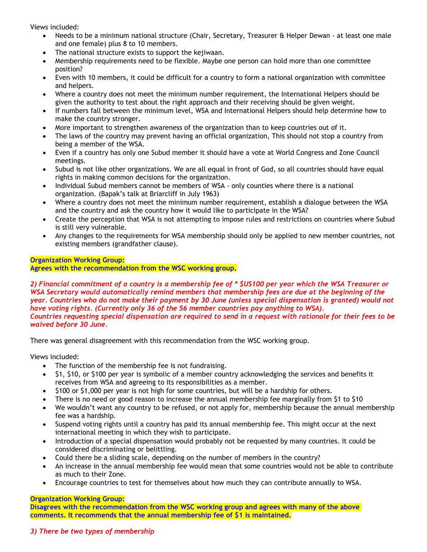Views included:

- Needs to be a minimum national structure (Chair, Secretary, Treasurer & Helper Dewan at least one male and one female) plus 8 to 10 members.
- The national structure exists to support the kejiwaan.
- Membership requirements need to be flexible. Maybe one person can hold more than one committee position?
- Even with 10 members, it could be difficult for a country to form a national organization with committee and helpers.
- Where a country does not meet the minimum number requirement, the International Helpers should be given the authority to test about the right approach and their receiving should be given weight.
- If numbers fall between the minimum level, WSA and International Helpers should help determine how to make the country stronger.
- More important to strengthen awareness of the organization than to keep countries out of it.
- The laws of the country may prevent having an official organization, This should not stop a country from being a member of the WSA.
- Even if a country has only one Subud member it should have a vote at World Congress and Zone Council meetings.
- Subud is not like other organizations. We are all equal in front of God, so all countries should have equal rights in making common decisions for the organization.
- Individual Subud members cannot be members of WSA only counties where there is a national organization. (Bapak's talk at Briarcliff in July 1963)
- Where a country does not meet the minimum number requirement, establish a dialogue between the WSA and the country and ask the country how it would like to participate in the WSA?
- Create the perception that WSA is not attempting to impose rules and restrictions on countries where Subud is still very vulnerable.
- Any changes to the requirements for WSA membership should only be applied to new member countries, not existing members (grandfather clause).

## **Organization Working Group:**

**Agrees with the recommendation from the WSC working group.**

*2) Financial commitment of a country is a membership fee of \* \$US100 per year which the WSA Treasurer or WSA Secretary would automatically remind members that membership fees are due at the beginning of the year. Countries who do not make their payment by 30 June (unless special dispensation is granted) would not have voting rights. (Currently only 36 of the 56 member countries pay anything to WSA). Countries requesting special dispensation are required to send in a request with rationale for their fees to be waived before 30 June.*

There was general disagreement with this recommendation from the WSC working group.

Views included:

- The function of the membership fee is not fundraising.
- \$1, \$10, or \$100 per year is symbolic of a member country acknowledging the services and benefits it receives from WSA and agreeing to its responsibilities as a member.
- \$100 or \$1,000 per year is not high for some countries, but will be a hardship for others.
- There is no need or good reason to increase the annual membership fee marginally from \$1 to \$10
- We wouldn't want any country to be refused, or not apply for, membership because the annual membership fee was a hardship.
- Suspend voting rights until a country has paid its annual membership fee. This might occur at the next international meeting in which they wish to participate.
- Introduction of a special dispensation would probably not be requested by many countries. It could be considered discriminating or belittling.
- Could there be a sliding scale, depending on the number of members in the country?
- An increase in the annual membership fee would mean that some countries would not be able to contribute as much to their Zone.
- Encourage countries to test for themselves about how much they can contribute annually to WSA.

## **Organization Working Group:**

**Disagrees with the recommendation from the WSC working group and agrees with many of the above comments. It recommends that the annual membership fee of \$1 is maintained.**

## *3) There be two types of membership*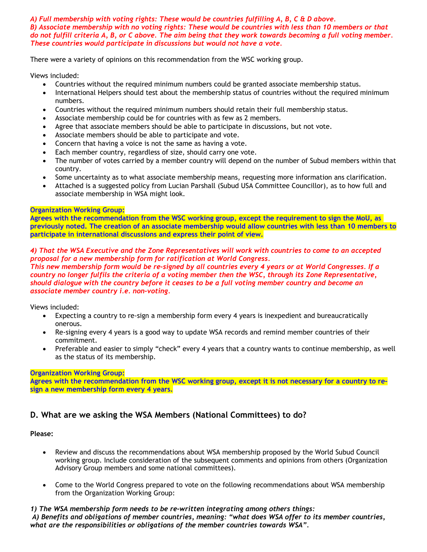#### *A) Full membership with voting rights: These would be countries fulfilling A, B, C & D above. B) Associate membership with no voting rights: These would be countries with less than 10 members or that do not fulfill criteria A, B, or C above. The aim being that they work towards becoming a full voting member. These countries would participate in discussions but would not have a vote.*

There were a variety of opinions on this recommendation from the WSC working group.

Views included:

- Countries without the required minimum numbers could be granted associate membership status.
- International Helpers should test about the membership status of countries without the required minimum numbers.
- Countries without the required minimum numbers should retain their full membership status.
- Associate membership could be for countries with as few as 2 members.
- Agree that associate members should be able to participate in discussions, but not vote.
- Associate members should be able to participate and vote.
- Concern that having a voice is not the same as having a vote.
- Each member country, regardless of size, should carry one vote.
- The number of votes carried by a member country will depend on the number of Subud members within that country.
- Some uncertainty as to what associate membership means, requesting more information ans clarification.
- Attached is a suggested policy from Lucian Parshall (Subud USA Committee Councillor), as to how full and associate membership in WSA might look.

#### **Organization Working Group:**

**Agrees with the recommendation from the WSC working group, except the requirement to sign the MoU, as previously noted. The creation of an associate membership would allow countries with less than 10 members to participate in international discussions and express their point of view.**

### *4) That the WSA Executive and the Zone Representatives will work with countries to come to an accepted proposal for a new membership form for ratification at World Congress.*

*This new membership form would be re-signed by all countries every 4 years or at World Congresses. If a country no longer fulfils the criteria of a voting member then the WSC, through its Zone Representative, should dialogue with the country before it ceases to be a full voting member country and become an associate member country i.e. non-voting.*

Views included:

- Expecting a country to re-sign a membership form every 4 years is inexpedient and bureaucratically onerous.
- Re-signing every 4 years is a good way to update WSA records and remind member countries of their commitment.
- Preferable and easier to simply "check" every 4 years that a country wants to continue membership, as well as the status of its membership.

#### **Organization Working Group:**

**Agrees with the recommendation from the WSC working group, except it is not necessary for a country to resign a new membership form every 4 years.** 

## **D. What are we asking the WSA Members (National Committees) to do?**

#### **Please:**

- Review and discuss the recommendations about WSA membership proposed by the World Subud Council working group. Include consideration of the subsequent comments and opinions from others (Organization Advisory Group members and some national committees).
- Come to the World Congress prepared to vote on the following recommendations about WSA membership from the Organization Working Group:

#### *1) The WSA membership form needs to be re-written integrating among others things:*

*A) Benefits and obligations of member countries, meaning: "what does WSA offer to its member countries, what are the responsibilities or obligations of the member countries towards WSA".*